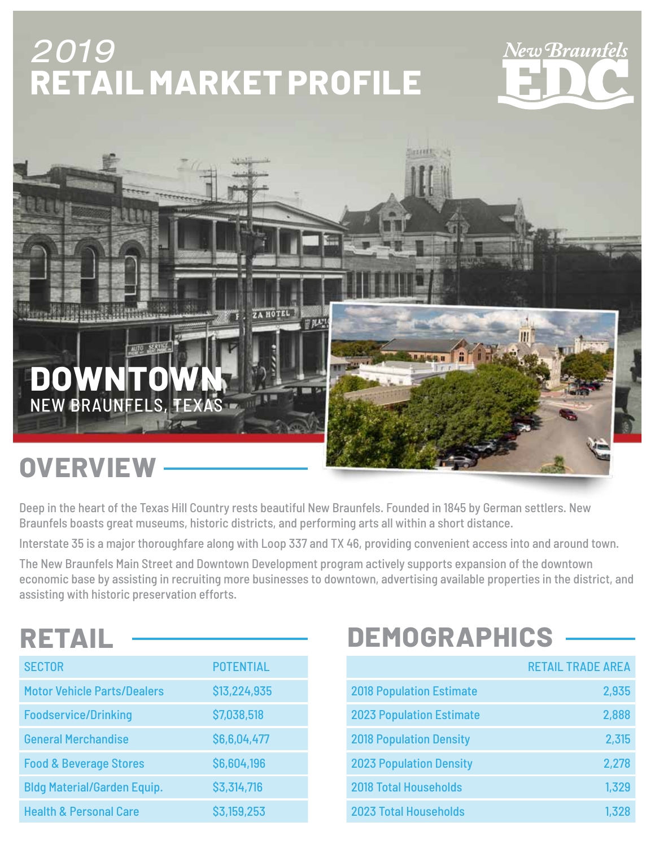# 2019 **RETAIL MARKET PROFILE**

# New Braunfels



Deep in the heart of the Texas Hill Country rests beautiful New Braunfels. Founded in 1845 by German settlers. New Braunfels boasts great museums, historic districts, and performing arts all within a short distance.

Interstate 35 is a major thoroughfare along with Loop 337 and TX 46, providing convenient access into and around town.

The New Braunfels Main Street and Downtown Development program actively supports expansion of the downtown economic base by assisting in recruiting more businesses to downtown, advertising available properties in the district, and assisting with historic preservation efforts.

| ₹. |  |  |  |
|----|--|--|--|
|    |  |  |  |

| <b>SECTOR</b>                      | <b>POTENTIAL</b> |
|------------------------------------|------------------|
| <b>Motor Vehicle Parts/Dealers</b> | \$13,224,935     |
| <b>Foodservice/Drinking</b>        | \$7,038,518      |
| <b>General Merchandise</b>         | \$6,6,04,477     |
| <b>Food &amp; Beverage Stores</b>  | \$6,604,196      |
| <b>Bldg Material/Garden Equip.</b> | \$3,314,716      |
| <b>Health &amp; Personal Care</b>  | \$3,159,253      |

## **DEMOGRAPHICS**

|                                 | <b>RETAIL TRADE AREA</b> |
|---------------------------------|--------------------------|
| <b>2018 Population Estimate</b> | 2,935                    |
| <b>2023 Population Estimate</b> | 2,888                    |
| <b>2018 Population Density</b>  | 2,315                    |
| <b>2023 Population Density</b>  | 2,278                    |
| <b>2018 Total Households</b>    | 1,329                    |
| <b>2023 Total Households</b>    | 1,328                    |